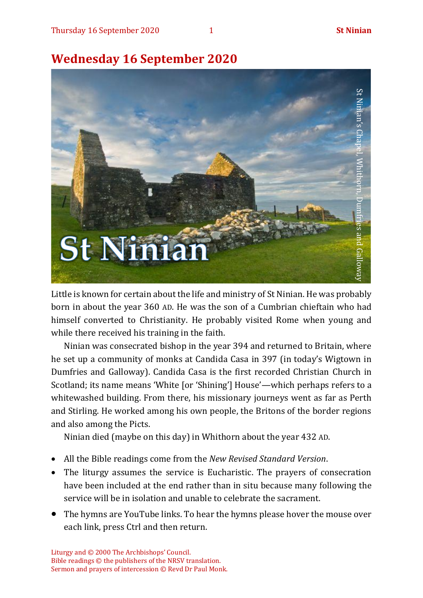# **Wednesday 16 September 2020**



Little is known for certain about the life and ministry of St Ninian. He was probably born in about the year 360 AD. He was the son of a Cumbrian chieftain who had himself converted to Christianity. He probably visited Rome when young and while there received his training in the faith.

Ninian was consecrated bishop in the year 394 and returned to Britain, where he set up a community of monks at Candida Casa in 397 (in today's Wigtown in Dumfries and Galloway). Candida Casa is the first recorded Christian Church in Scotland; its name means 'White [or 'Shining'] House'—which perhaps refers to a whitewashed building. From there, his missionary journeys went as far as Perth and Stirling. He worked among his own people, the Britons of the border regions and also among the Picts.

Ninian died (maybe on this day) in Whithorn about the year 432 AD.

- All the Bible readings come from the *New Revised Standard Version*.
- The liturgy assumes the service is Eucharistic. The prayers of consecration have been included at the end rather than in situ because many following the service will be in isolation and unable to celebrate the sacrament.
- The hymns are YouTube links. To hear the hymns please hover the mouse over each link, press Ctrl and then return.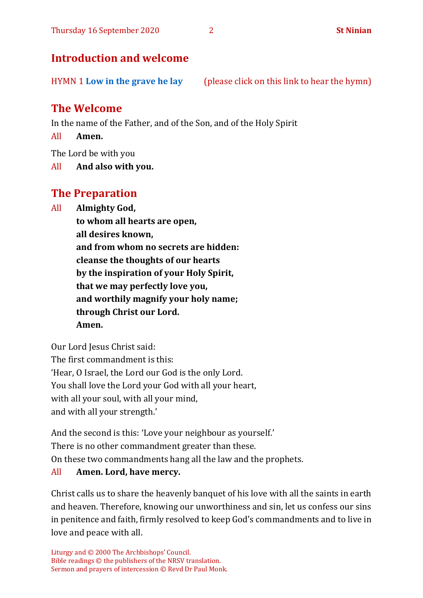# **Introduction and welcome**

HYMN 1 **Low in the [grave he lay](https://www.youtube.com/watch?v=CtxSWcfH9hk)** (please click on this link to hear the hymn)

# **The Welcome**

In the name of the Father, and of the Son, and of the Holy Spirit

All **Amen.**

The Lord be with you

All **And also with you.**

# **The Preparation**

All **Almighty God,**

**to whom all hearts are open, all desires known, and from whom no secrets are hidden: cleanse the thoughts of our hearts by the inspiration of your Holy Spirit, that we may perfectly love you, and worthily magnify your holy name; through Christ our Lord. Amen.**

Our Lord Jesus Christ said: The first commandment is this: 'Hear, O Israel, the Lord our God is the only Lord. You shall love the Lord your God with all your heart, with all your soul, with all your mind, and with all your strength.'

And the second is this: 'Love your neighbour as yourself.' There is no other commandment greater than these. On these two commandments hang all the law and the prophets. All **Amen. Lord, have mercy.**

Christ calls us to share the heavenly banquet of his love with all the saints in earth and heaven. Therefore, knowing our unworthiness and sin, let us confess our sins in penitence and faith, firmly resolved to keep God's commandments and to live in love and peace with all.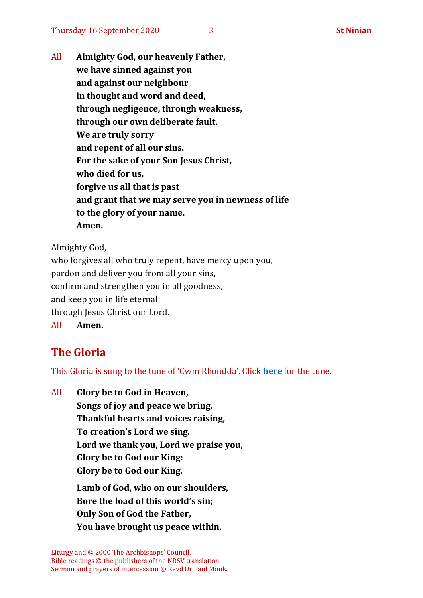All **Almighty God, our heavenly Father, we have sinned against you and against our neighbour in thought and word and deed, through negligence, through weakness, through our own deliberate fault. We are truly sorry and repent of all our sins. For the sake of your Son Jesus Christ, who died for us, forgive us all that is past and grant that we may serve you in newness of life to the glory of your name. Amen.**

Almighty God,

who forgives all who truly repent, have mercy upon you, pardon and deliver you from all your sins, confirm and strengthen you in all goodness, and keep you in life eternal; through Jesus Christ our Lord. All **Amen.**

# **The Gloria**

This Gloria is sung to the tune of 'Cwm Rhondda'. Click **[here](about:blank)** for the tune.

All **Glory be to God in Heaven, Songs of joy and peace we bring, Thankful hearts and voices raising, To creation's Lord we sing. Lord we thank you, Lord we praise you, Glory be to God our King: Glory be to God our King. Lamb of God, who on our shoulders, Bore the load of this world's sin; Only Son of God the Father, You have brought us peace within.**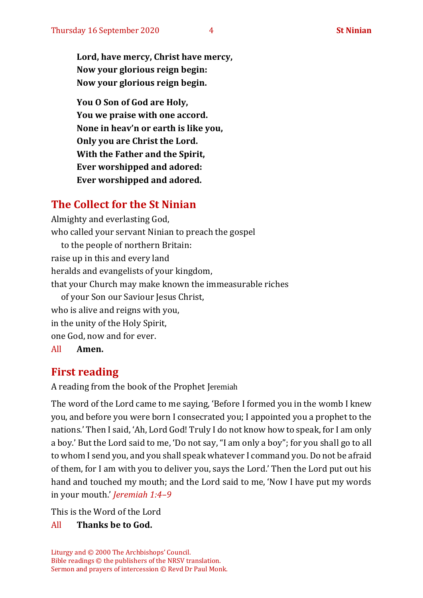**Lord, have mercy, Christ have mercy, Now your glorious reign begin: Now your glorious reign begin.**

**You O Son of God are Holy, You we praise with one accord. None in heav'n or earth is like you, Only you are Christ the Lord. With the Father and the Spirit, Ever worshipped and adored: Ever worshipped and adored.**

# **The Collect for the St Ninian**

Almighty and everlasting God, who called your servant Ninian to preach the gospel to the people of northern Britain: raise up in this and every land heralds and evangelists of your kingdom, that your Church may make known the immeasurable riches of your Son our Saviour Jesus Christ, who is alive and reigns with you, in the unity of the Holy Spirit, one God, now and for ever. All **Amen.**

# **First reading**

A reading from the book of the Prophet Jeremiah

The word of the Lord came to me saying, 'Before I formed you in the womb I knew you, and before you were born I consecrated you; I appointed you a prophet to the nations.' Then I said, 'Ah, Lord God! Truly I do not know how to speak, for I am only a boy.' But the Lord said to me, 'Do not say, "I am only a boy"; for you shall go to all to whom I send you, and you shall speak whatever I command you. Do not be afraid of them, for I am with you to deliver you, says the Lord.' Then the Lord put out his hand and touched my mouth; and the Lord said to me, 'Now I have put my words in your mouth.' *Jeremiah 1:4–9*

This is the Word of the Lord

#### All **Thanks be to God.**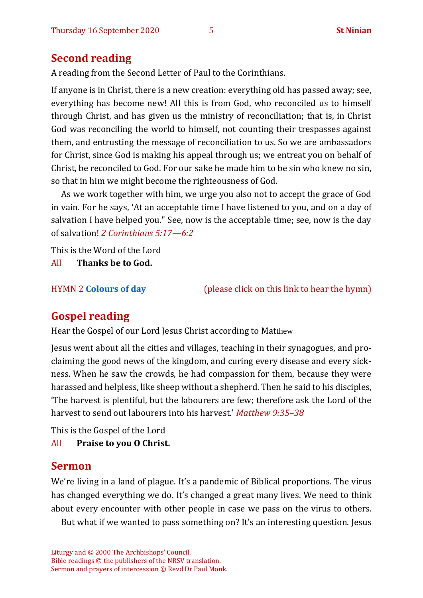## **Second reading**

A reading from the Second Letter of Paul to the Corinthians.

If anyone is in Christ, there is a new creation: everything old has passed away; see, everything has become new! All this is from God, who reconciled us to himself through Christ, and has given us the ministry of reconciliation; that is, in Christ God was reconciling the world to himself, not counting their trespasses against them, and entrusting the message of reconciliation to us. So we are ambassadors for Christ, since God is making his appeal through us; we entreat you on behalf of Christ, be reconciled to God. For our sake he made him to be sin who knew no sin, so that in him we might become the righteousness of God.

As we work together with him, we urge you also not to accept the grace of God in vain. For he says, 'At an acceptable time I have listened to you, and on a day of salvation I have helped you." See, now is the acceptable time; see, now is the day of salvation! *2 Corinthians 5:17—6:2*

This is the Word of the Lord

All **Thanks be to God.**

HYMN 2 **[Colours of day](https://www.youtube.com/watch?v=Fo-3lf08y-Y)** (please click on this link to hear the hymn)

# **Gospel reading**

Hear the Gospel of our Lord Jesus Christ according to Matthew

Jesus went about all the cities and villages, teaching in their synagogues, and proclaiming the good news of the kingdom, and curing every disease and every sickness. When he saw the crowds, he had compassion for them, because they were harassed and helpless, like sheep without a shepherd. Then he said to his disciples, 'The harvest is plentiful, but the labourers are few; therefore ask the Lord of the harvest to send out labourers into his harvest.' *Matthew 9:35–38*

This is the Gospel of the Lord

All **Praise to you O Christ.** 

#### **Sermon**

We're living in a land of plague. It's a pandemic of Biblical proportions. The virus has changed everything we do. It's changed a great many lives. We need to think about every encounter with other people in case we pass on the virus to others.

But what if we wanted to pass something on? It's an interesting question. Jesus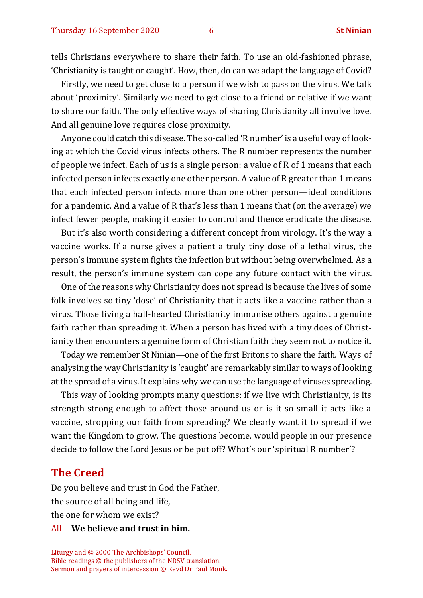tells Christians everywhere to share their faith. To use an old-fashioned phrase, 'Christianity is taught or caught'. How, then, do can we adapt the language of Covid?

Firstly, we need to get close to a person if we wish to pass on the virus. We talk about 'proximity'. Similarly we need to get close to a friend or relative if we want to share our faith. The only effective ways of sharing Christianity all involve love. And all genuine love requires close proximity.

Anyone could catch this disease. The so-called 'R number' is a useful way of looking at which the Covid virus infects others. The R number represents the number of people we infect. Each of us is a single person: a value of R of 1 means that each infected person infects exactly one other person. A value of R greater than 1 means that each infected person infects more than one other person—ideal conditions for a pandemic. And a value of R that's less than 1 means that (on the average) we infect fewer people, making it easier to control and thence eradicate the disease.

But it's also worth considering a different concept from virology. It's the way a vaccine works. If a nurse gives a patient a truly tiny dose of a lethal virus, the person's immune system fights the infection but without being overwhelmed. As a result, the person's immune system can cope any future contact with the virus.

One of the reasons why Christianity does not spread is because the lives of some folk involves so tiny 'dose' of Christianity that it acts like a vaccine rather than a virus. Those living a half-hearted Christianity immunise others against a genuine faith rather than spreading it. When a person has lived with a tiny does of Christianity then encounters a genuine form of Christian faith they seem not to notice it.

Today we remember St Ninian—one of the first Britons to share the faith. Ways of analysing the way Christianity is 'caught' are remarkably similar to ways of looking at the spread of a virus. It explains why we can use the language of viruses spreading.

This way of looking prompts many questions: if we live with Christianity, is its strength strong enough to affect those around us or is it so small it acts like a vaccine, stropping our faith from spreading? We clearly want it to spread if we want the Kingdom to grow. The questions become, would people in our presence decide to follow the Lord Jesus or be put off? What's our 'spiritual R number'?

#### **The Creed**

Do you believe and trust in God the Father, the source of all being and life, the one for whom we exist?

#### All **We believe and trust in him.**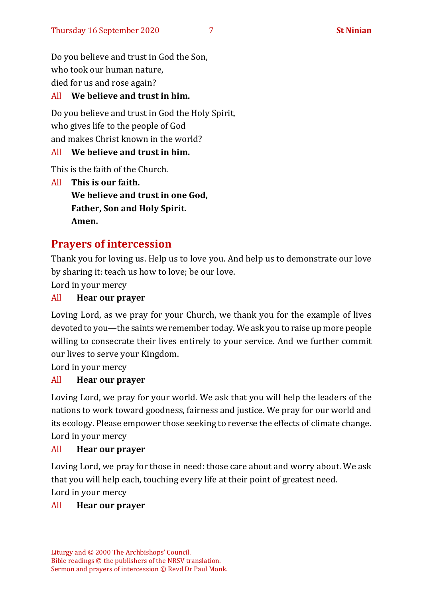Do you believe and trust in God the Son, who took our human nature, died for us and rose again?

#### All **We believe and trust in him.**

Do you believe and trust in God the Holy Spirit, who gives life to the people of God and makes Christ known in the world?

#### All **We believe and trust in him.**

This is the faith of the Church.

All **This is our faith. We believe and trust in one God, Father, Son and Holy Spirit. Amen.**

# **Prayers of intercession**

Thank you for loving us. Help us to love you. And help us to demonstrate our love by sharing it: teach us how to love; be our love.

Lord in your mercy

#### All **Hear our prayer**

Loving Lord, as we pray for your Church, we thank you for the example of lives devoted to you—the saints we remember today. We ask you to raise up more people willing to consecrate their lives entirely to your service. And we further commit our lives to serve your Kingdom.

Lord in your mercy

#### All **Hear our prayer**

Loving Lord, we pray for your world. We ask that you will help the leaders of the nations to work toward goodness, fairness and justice. We pray for our world and its ecology. Please empower those seeking to reverse the effects of climate change. Lord in your mercy

#### All **Hear our prayer**

Loving Lord, we pray for those in need: those care about and worry about. We ask that you will help each, touching every life at their point of greatest need. Lord in your mercy

#### All **Hear our prayer**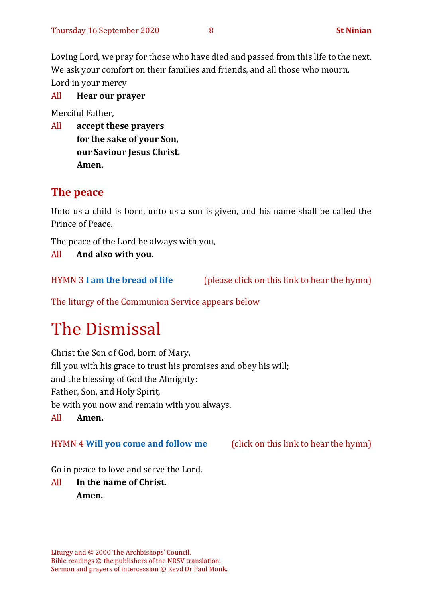Loving Lord, we pray for those who have died and passed from this life to the next. We ask your comfort on their families and friends, and all those who mourn. Lord in your mercy

#### All **Hear our prayer**

Merciful Father,

All **accept these prayers for the sake of your Son, our Saviour Jesus Christ. Amen.**

# **The peace**

Unto us a child is born, unto us a son is given, and his name shall be called the Prince of Peace.

The peace of the Lord be always with you,

All **And also with you.**

HYMN 3 **[I am the bread of life](https://www.youtube.com/watch?v=IvD0XJzOWQ4)** (please click on this link to hear the hymn)

The liturgy of the Communion Service appears below

# The Dismissal

Christ the Son of God, born of Mary, fill you with his grace to trust his promises and obey his will; and the blessing of God the Almighty: Father, Son, and Holy Spirit, be with you now and remain with you always. All **Amen.**

#### HYMN 4 **[Will you come and follow me](https://www.youtube.com/watch?v=zk6IUalJ3sk)** (click on this link to hear the hymn)

Go in peace to love and serve the Lord.

All **In the name of Christ. Amen.**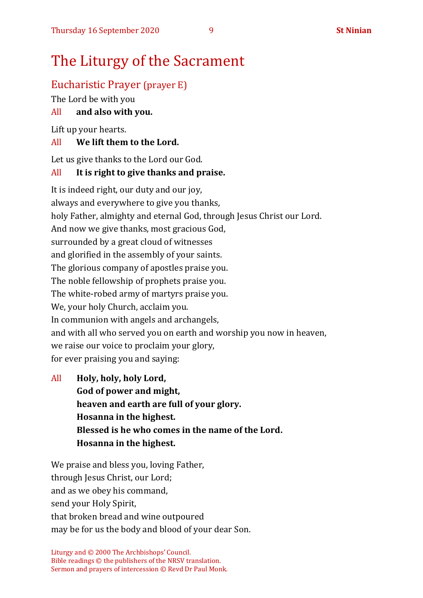# The Liturgy of the Sacrament

# Eucharistic Prayer (prayer E)

The Lord be with you

## All **and also with you.**

Lift up your hearts.

## All **We lift them to the Lord.**

Let us give thanks to the Lord our God.

## All **It is right to give thanks and praise.**

It is indeed right, our duty and our joy, always and everywhere to give you thanks, holy Father, almighty and eternal God, through Jesus Christ our Lord. And now we give thanks, most gracious God, surrounded by a great cloud of witnesses and glorified in the assembly of your saints. The glorious company of apostles praise you. The noble fellowship of prophets praise you. The white-robed army of martyrs praise you. We, your holy Church, acclaim you. In communion with angels and archangels, and with all who served you on earth and worship you now in heaven, we raise our voice to proclaim your glory, for ever praising you and saying:

All **Holy, holy, holy Lord, God of power and might, heaven and earth are full of your glory. Hosanna in the highest. Blessed is he who comes in the name of the Lord. Hosanna in the highest.**

We praise and bless you, loving Father, through Jesus Christ, our Lord; and as we obey his command, send your Holy Spirit, that broken bread and wine outpoured may be for us the body and blood of your dear Son.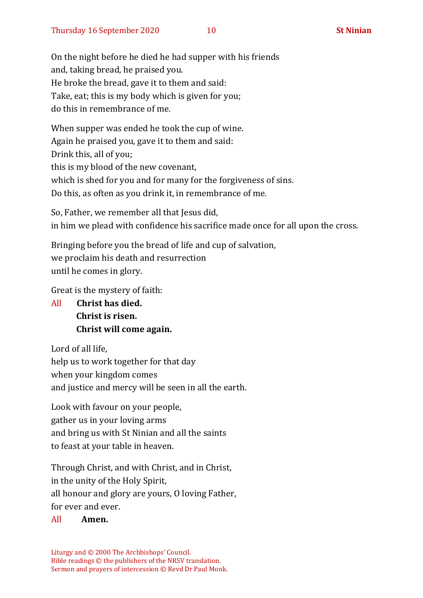On the night before he died he had supper with his friends and, taking bread, he praised you. He broke the bread, gave it to them and said: Take, eat; this is my body which is given for you; do this in remembrance of me.

When supper was ended he took the cup of wine. Again he praised you, gave it to them and said: Drink this, all of you; this is my blood of the new covenant, which is shed for you and for many for the forgiveness of sins. Do this, as often as you drink it, in remembrance of me.

So, Father, we remember all that Jesus did, in him we plead with confidence his sacrifice made once for all upon the cross.

Bringing before you the bread of life and cup of salvation, we proclaim his death and resurrection until he comes in glory.

Great is the mystery of faith:

All **Christ has died. Christ is risen. Christ will come again.**

Lord of all life, help us to work together for that day when your kingdom comes and justice and mercy will be seen in all the earth.

Look with favour on your people, gather us in your loving arms and bring us with St Ninian and all the saints to feast at your table in heaven.

Through Christ, and with Christ, and in Christ, in the unity of the Holy Spirit, all honour and glory are yours, O loving Father, for ever and ever.

#### All **Amen.**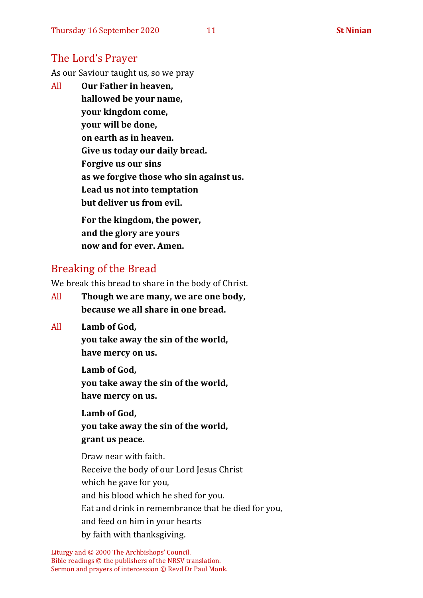## The Lord's Prayer

As our Saviour taught us, so we pray

All **Our Father in heaven, hallowed be your name, your kingdom come, your will be done, on earth as in heaven. Give us today our daily bread. Forgive us our sins as we forgive those who sin against us. Lead us not into temptation but deliver us from evil. For the kingdom, the power,** 

**and the glory are yours now and for ever. Amen.**

# Breaking of the Bread

We break this bread to share in the body of Christ.

- All **Though we are many, we are one body, because we all share in one bread.**
- All **Lamb of God,**

**you take away the sin of the world, have mercy on us.**

**Lamb of God, you take away the sin of the world, have mercy on us.**

**Lamb of God, you take away the sin of the world, grant us peace.**

Draw near with faith. Receive the body of our Lord Jesus Christ which he gave for you, and his blood which he shed for you. Eat and drink in remembrance that he died for you, and feed on him in your hearts by faith with thanksgiving.